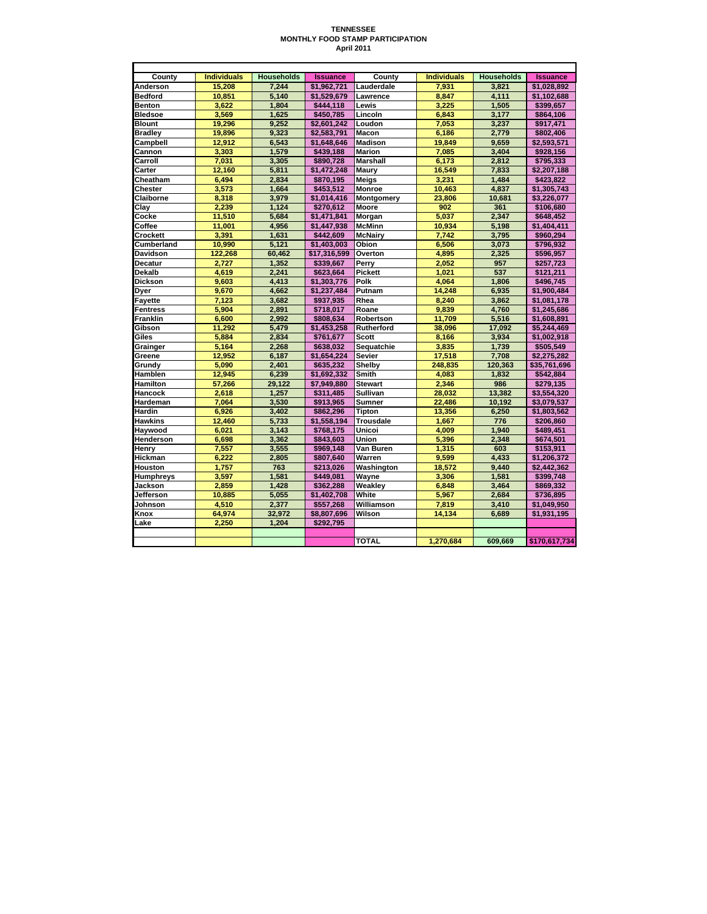## **TENNESSEE MONTHLY FOOD STAMP PARTICIPATION April 2011**

| County          | <b>Individuals</b> | <b>Households</b> | <b>Issuance</b> | County            | <b>Individuals</b> | <b>Households</b> | <b>Issuance</b> |
|-----------------|--------------------|-------------------|-----------------|-------------------|--------------------|-------------------|-----------------|
| Anderson        | 15.208             | 7.244             | \$1.962.721     | Lauderdale        | 7.931              | 3.821             | \$1.028.892     |
| <b>Bedford</b>  | 10.851             | 5.140             | \$1.529.679     | Lawrence          | 8.847              | 4.111             | \$1.102.688     |
| <b>Benton</b>   | 3,622              | 1,804             | \$444,118       | Lewis             | 3.225              | 1,505             | \$399,657       |
| <b>Bledsoe</b>  | 3.569              | 1,625             | \$450,785       | Lincoln           | 6.843              | 3,177             | \$864,106       |
| <b>Blount</b>   | 19,296             | 9,252             | \$2,601,242     | Loudon            | 7,053              | 3,237             | \$917,471       |
| <b>Bradley</b>  | 19.896             | 9.323             | \$2.583.791     | Macon             | 6.186              | 2.779             | \$802,406       |
| Campbell        | 12,912             | 6.543             | \$1,648,646     | <b>Madison</b>    | 19.849             | 9.659             | \$2,593,571     |
| Cannon          | 3,303              | 1,579             | \$439,188       | <b>Marion</b>     | 7,085              | 3,404             | \$928,156       |
| Carroll         | 7.031              | 3,305             | \$890,728       | Marshall          | 6,173              | 2,812             | \$795,333       |
| Carter          | 12.160             | 5.811             | \$1.472.248     | Maury             | 16.549             | 7.833             | \$2,207,188     |
| Cheatham        | 6,494              | 2,834             | \$870,195       | Meigs             | 3,231              | 1,484             | \$423,822       |
| <b>Chester</b>  | 3,573              | 1,664             | \$453,512       | <b>Monroe</b>     | 10,463             | 4.837             | \$1,305,743     |
| Claiborne       | 8.318              | 3.979             | \$1.014.416     | Montgomery        | 23.806             | 10.681            | \$3.226.077     |
| Clav            | 2,239              | 1,124             | \$270,612       | Moore             | 902                | 361               | \$106,680       |
| Cocke           | 11.510             | 5.684             | \$1.471.841     | <b>Morgan</b>     | 5.037              | 2.347             | \$648.452       |
| Coffee          | 11,001             | 4,956             | \$1,447,938     | <b>McMinn</b>     | 10,934             | 5,198             | \$1,404,411     |
| Crockett        | 3,391              | 1,631             | \$442,609       | <b>McNairy</b>    | 7,742              | 3,795             | \$960,294       |
| Cumberland      | 10,990             | 5.121             | \$1,403,003     | Obion             | 6,506              | 3.073             | \$796,932       |
| <b>Davidson</b> | 122.268            | 60,462            | \$17,316,599    | Overton           | 4,895              | 2,325             | \$596,957       |
| Decatur         | 2.727              | 1,352             | \$339,667       | Perry             | 2.052              | 957               | \$257,723       |
| <b>Dekalb</b>   | 4,619              | 2.241             | \$623.664       | <b>Pickett</b>    | 1.021              | 537               | \$121,211       |
| <b>Dickson</b>  | 9,603              | 4,413             | \$1,303,776     | Polk              | 4.064              | 1,806             | \$496,745       |
| Dyer            | 9,670              | 4,662             | \$1,237,484     | Putnam            | 14,248             | 6,935             | \$1,900,484     |
| Fayette         | 7.123              | 3.682             | \$937.935       | Rhea              | 8.240              | 3.862             | \$1,081,178     |
| <b>Fentress</b> | 5,904              | 2,891             | \$718,017       | Roane             | 9,839              | 4,760             | \$1,245,686     |
| <b>Franklin</b> | 6.600              | 2.992             | \$808.634       | Robertson         | 11.709             | 5,516             | \$1.608.891     |
| Gibson          | 11,292             | 5,479             | \$1,453,258     | <b>Rutherford</b> | 38,096             | 17,092            | \$5,244,469     |
| Giles           | 5.884              | 2.834             | \$761.677       | <b>Scott</b>      | 8.166              | 3.934             | \$1,002,918     |
| Grainger        | 5.164              | 2.268             | \$638.032       | Sequatchie        | 3.835              | 1.739             | \$505,549       |
| Greene          | 12,952             | 6,187             | \$1,654,224     | Sevier            | 17,518             | 7,708             | \$2,275,282     |
| Grundy          | 5.090              | 2.401             | \$635,232       | Shelby            | 248.835            | 120.363           | \$35,761,696    |
| Hamblen         | 12,945             | 6.239             | \$1.692.332     | <b>Smith</b>      | 4.083              | 1.832             | \$542.884       |
| <b>Hamilton</b> | 57,266             | 29,122            | \$7,949,880     | <b>Stewart</b>    | 2.346              | 986               | \$279,135       |
| Hancock         | 2,618              | 1,257             | \$311,485       | Sullivan          | 28,032             | 13,382            | \$3,554,320     |
| Hardeman        | 7.064              | 3.530             | \$913.965       | Sumner            | 22,486             | 10.192            | \$3.079.537     |
| Hardin          | 6,926              | 3,402             | \$862,296       | Tipton            | 13,356             | 6,250             | \$1,803,562     |
| <b>Hawkins</b>  | 12,460             | 5.733             | \$1.558.194     | <b>Trousdale</b>  | 1.667              | 776               | \$206.860       |
| Haywood         | 6,021              | 3,143             | \$768,175       | Unicoi            | 4,009              | 1,940             | \$489,451       |
| Henderson       | 6,698              | 3,362             | \$843,603       | Union             | 5,396              | 2.348             | \$674,501       |
| Henry           | 7.557              | 3.555             | \$969.148       | Van Buren         | 1.315              | 603               | \$153,911       |
| Hickman         | 6,222              | 2,805             | \$807,640       | Warren            | 9,599              | 4,433             | \$1,206,372     |
| <b>Houston</b>  | 1,757              | 763               | \$213.026       | Washington        | 18,572             | 9.440             | \$2,442,362     |
| Humphreys       | 3,597              | 1,581             | \$449,081       | Wayne             | 3,306              | 1,581             | \$399,748       |
| Jackson         | 2,859              | 1,428             | \$362.288       | Weakley           | 6,848              | 3,464             | \$869,332       |
| Jefferson       | 10,885             | 5,055             | \$1,402,708     | White             | 5,967              | 2,684             | \$736,895       |
| Johnson         | 4.510              | 2.377             | \$557.268       | Williamson        | 7.819              | 3.410             | \$1.049.950     |
| Knox            | 64,974             | 32,972            | \$8,807,696     | Wilson            | 14,134             | 6,689             | \$1,931,195     |
| Lake            | 2.250              | 1.204             | \$292,795       |                   |                    |                   |                 |
|                 |                    |                   |                 |                   |                    |                   |                 |
|                 |                    |                   |                 | <b>TOTAL</b>      | 1.270.684          | 609.669           | \$170,617,734   |